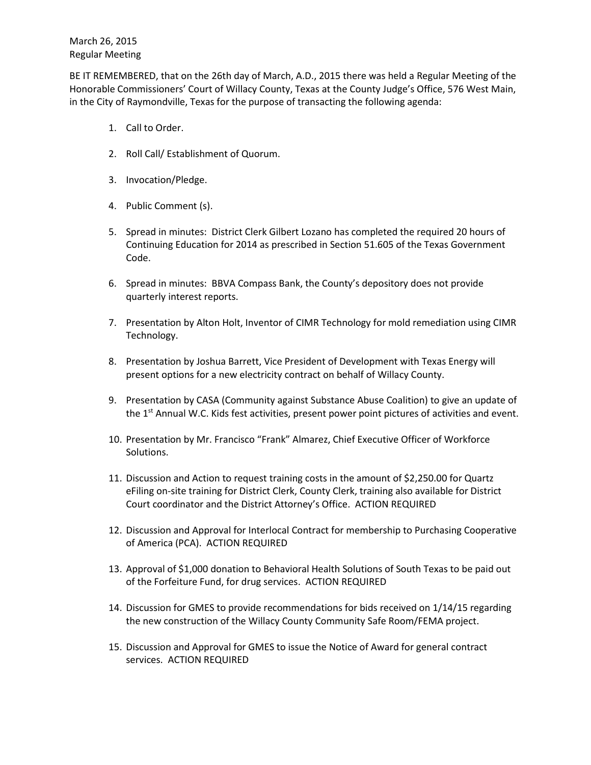BE IT REMEMBERED, that on the 26th day of March, A.D., 2015 there was held a Regular Meeting of the Honorable Commissioners' Court of Willacy County, Texas at the County Judge's Office, 576 West Main, in the City of Raymondville, Texas for the purpose of transacting the following agenda:

- 1. Call to Order.
- 2. Roll Call/ Establishment of Quorum.
- 3. Invocation/Pledge.
- 4. Public Comment (s).
- 5. Spread in minutes: District Clerk Gilbert Lozano has completed the required 20 hours of Continuing Education for 2014 as prescribed in Section 51.605 of the Texas Government Code.
- 6. Spread in minutes: BBVA Compass Bank, the County's depository does not provide quarterly interest reports.
- 7. Presentation by Alton Holt, Inventor of CIMR Technology for mold remediation using CIMR Technology.
- 8. Presentation by Joshua Barrett, Vice President of Development with Texas Energy will present options for a new electricity contract on behalf of Willacy County.
- 9. Presentation by CASA (Community against Substance Abuse Coalition) to give an update of the 1<sup>st</sup> Annual W.C. Kids fest activities, present power point pictures of activities and event.
- 10. Presentation by Mr. Francisco "Frank" Almarez, Chief Executive Officer of Workforce Solutions.
- 11. Discussion and Action to request training costs in the amount of \$2,250.00 for Quartz eFiling on-site training for District Clerk, County Clerk, training also available for District Court coordinator and the District Attorney's Office. ACTION REQUIRED
- 12. Discussion and Approval for Interlocal Contract for membership to Purchasing Cooperative of America (PCA). ACTION REQUIRED
- 13. Approval of \$1,000 donation to Behavioral Health Solutions of South Texas to be paid out of the Forfeiture Fund, for drug services. ACTION REQUIRED
- 14. Discussion for GMES to provide recommendations for bids received on 1/14/15 regarding the new construction of the Willacy County Community Safe Room/FEMA project.
- 15. Discussion and Approval for GMES to issue the Notice of Award for general contract services. ACTION REQUIRED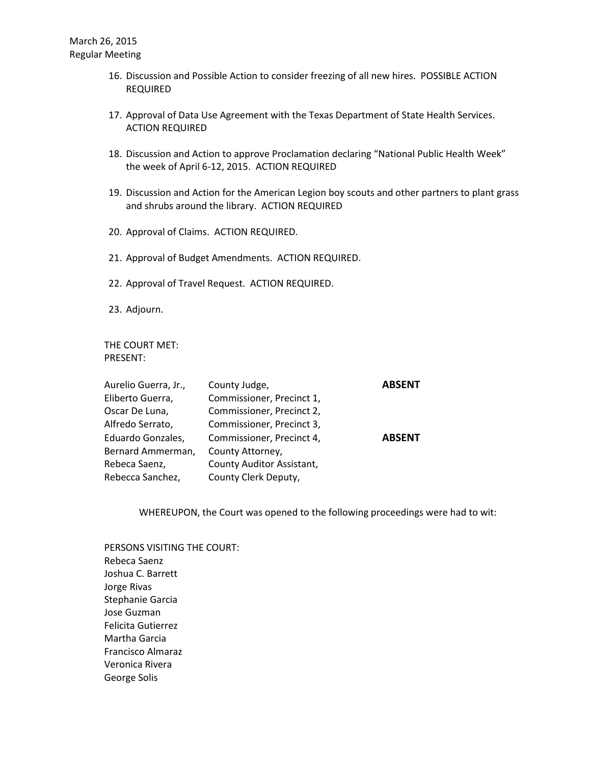- 16. Discussion and Possible Action to consider freezing of all new hires. POSSIBLE ACTION REQUIRED
- 17. Approval of Data Use Agreement with the Texas Department of State Health Services. ACTION REQUIRED
- 18. Discussion and Action to approve Proclamation declaring "National Public Health Week" the week of April 6-12, 2015. ACTION REQUIRED
- 19. Discussion and Action for the American Legion boy scouts and other partners to plant grass and shrubs around the library. ACTION REQUIRED
- 20. Approval of Claims. ACTION REQUIRED.
- 21. Approval of Budget Amendments. ACTION REQUIRED.
- 22. Approval of Travel Request. ACTION REQUIRED.
- 23. Adjourn.

THE COURT MET: PRESENT:

| Aurelio Guerra, Jr., | County Judge,             | <b>ABSENT</b> |
|----------------------|---------------------------|---------------|
| Eliberto Guerra,     | Commissioner, Precinct 1, |               |
| Oscar De Luna,       | Commissioner, Precinct 2, |               |
| Alfredo Serrato,     | Commissioner, Precinct 3, |               |
| Eduardo Gonzales,    | Commissioner, Precinct 4, | <b>ABSENT</b> |
| Bernard Ammerman,    | County Attorney,          |               |
| Rebeca Saenz,        | County Auditor Assistant, |               |
| Rebecca Sanchez,     | County Clerk Deputy,      |               |

WHEREUPON, the Court was opened to the following proceedings were had to wit:

PERSONS VISITING THE COURT: Rebeca Saenz Joshua C. Barrett Jorge Rivas Stephanie Garcia Jose Guzman Felicita Gutierrez Martha Garcia Francisco Almaraz Veronica Rivera George Solis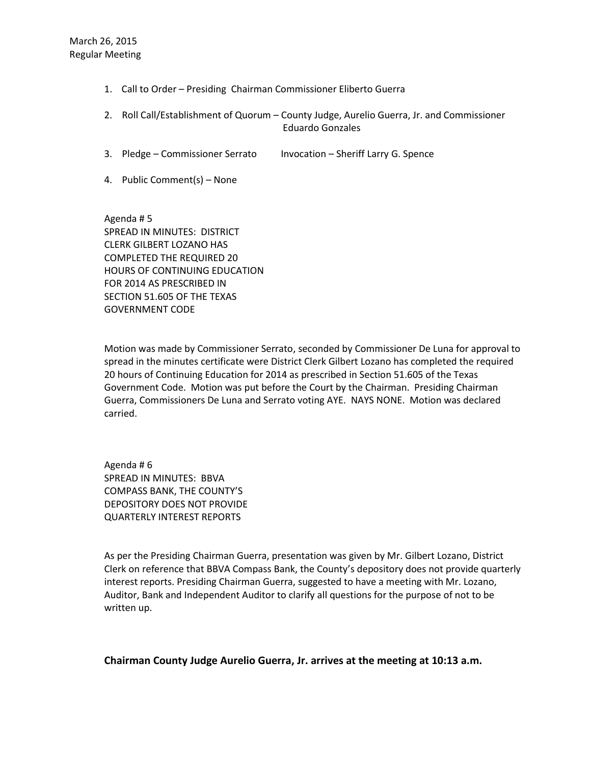- 1. Call to Order Presiding Chairman Commissioner Eliberto Guerra
- 2. Roll Call/Establishment of Quorum County Judge, Aurelio Guerra, Jr. and Commissioner Eduardo Gonzales
- 3. Pledge Commissioner Serrato Invocation Sheriff Larry G. Spence
- 4. Public Comment(s) None

Agenda # 5 SPREAD IN MINUTES: DISTRICT CLERK GILBERT LOZANO HAS COMPLETED THE REQUIRED 20 HOURS OF CONTINUING EDUCATION FOR 2014 AS PRESCRIBED IN SECTION 51.605 OF THE TEXAS GOVERNMENT CODE

Motion was made by Commissioner Serrato, seconded by Commissioner De Luna for approval to spread in the minutes certificate were District Clerk Gilbert Lozano has completed the required 20 hours of Continuing Education for 2014 as prescribed in Section 51.605 of the Texas Government Code. Motion was put before the Court by the Chairman. Presiding Chairman Guerra, Commissioners De Luna and Serrato voting AYE. NAYS NONE. Motion was declared carried.

Agenda # 6 SPREAD IN MINUTES: BBVA COMPASS BANK, THE COUNTY'S DEPOSITORY DOES NOT PROVIDE QUARTERLY INTEREST REPORTS

As per the Presiding Chairman Guerra, presentation was given by Mr. Gilbert Lozano, District Clerk on reference that BBVA Compass Bank, the County's depository does not provide quarterly interest reports. Presiding Chairman Guerra, suggested to have a meeting with Mr. Lozano, Auditor, Bank and Independent Auditor to clarify all questions for the purpose of not to be written up.

## **Chairman County Judge Aurelio Guerra, Jr. arrives at the meeting at 10:13 a.m.**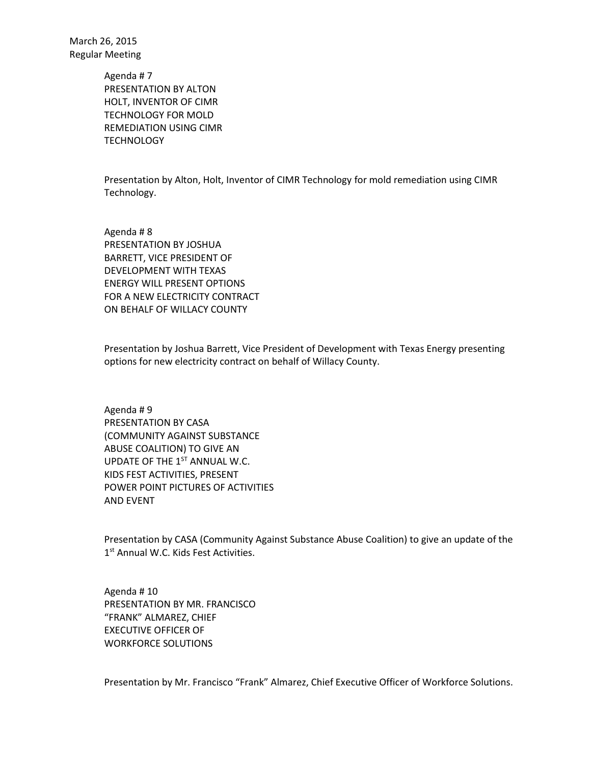> Agenda # 7 PRESENTATION BY ALTON HOLT, INVENTOR OF CIMR TECHNOLOGY FOR MOLD REMEDIATION USING CIMR **TECHNOLOGY**

Presentation by Alton, Holt, Inventor of CIMR Technology for mold remediation using CIMR Technology.

Agenda # 8 PRESENTATION BY JOSHUA BARRETT, VICE PRESIDENT OF DEVELOPMENT WITH TEXAS ENERGY WILL PRESENT OPTIONS FOR A NEW ELECTRICITY CONTRACT ON BEHALF OF WILLACY COUNTY

Presentation by Joshua Barrett, Vice President of Development with Texas Energy presenting options for new electricity contract on behalf of Willacy County.

Agenda # 9 PRESENTATION BY CASA (COMMUNITY AGAINST SUBSTANCE ABUSE COALITION) TO GIVE AN UPDATE OF THE  $1<sup>ST</sup>$  ANNUAL W.C. KIDS FEST ACTIVITIES, PRESENT POWER POINT PICTURES OF ACTIVITIES AND EVENT

Presentation by CASA (Community Against Substance Abuse Coalition) to give an update of the 1<sup>st</sup> Annual W.C. Kids Fest Activities.

Agenda # 10 PRESENTATION BY MR. FRANCISCO "FRANK" ALMAREZ, CHIEF EXECUTIVE OFFICER OF WORKFORCE SOLUTIONS

Presentation by Mr. Francisco "Frank" Almarez, Chief Executive Officer of Workforce Solutions.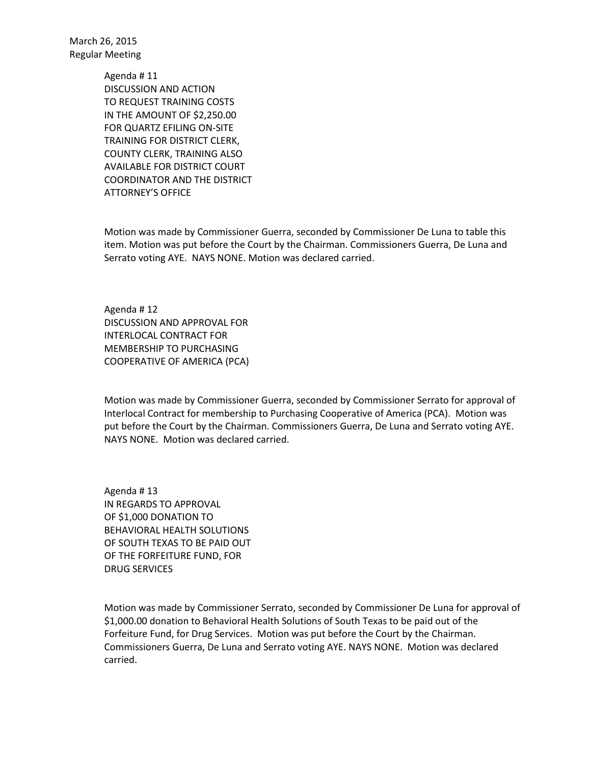> Agenda # 11 DISCUSSION AND ACTION TO REQUEST TRAINING COSTS IN THE AMOUNT OF \$2,250.00 FOR QUARTZ EFILING ON-SITE TRAINING FOR DISTRICT CLERK, COUNTY CLERK, TRAINING ALSO AVAILABLE FOR DISTRICT COURT COORDINATOR AND THE DISTRICT ATTORNEY'S OFFICE

Motion was made by Commissioner Guerra, seconded by Commissioner De Luna to table this item. Motion was put before the Court by the Chairman. Commissioners Guerra, De Luna and Serrato voting AYE. NAYS NONE. Motion was declared carried.

Agenda # 12 DISCUSSION AND APPROVAL FOR INTERLOCAL CONTRACT FOR MEMBERSHIP TO PURCHASING COOPERATIVE OF AMERICA (PCA)

Motion was made by Commissioner Guerra, seconded by Commissioner Serrato for approval of Interlocal Contract for membership to Purchasing Cooperative of America (PCA). Motion was put before the Court by the Chairman. Commissioners Guerra, De Luna and Serrato voting AYE. NAYS NONE. Motion was declared carried.

Agenda # 13 IN REGARDS TO APPROVAL OF \$1,000 DONATION TO BEHAVIORAL HEALTH SOLUTIONS OF SOUTH TEXAS TO BE PAID OUT OF THE FORFEITURE FUND, FOR DRUG SERVICES

Motion was made by Commissioner Serrato, seconded by Commissioner De Luna for approval of \$1,000.00 donation to Behavioral Health Solutions of South Texas to be paid out of the Forfeiture Fund, for Drug Services. Motion was put before the Court by the Chairman. Commissioners Guerra, De Luna and Serrato voting AYE. NAYS NONE. Motion was declared carried.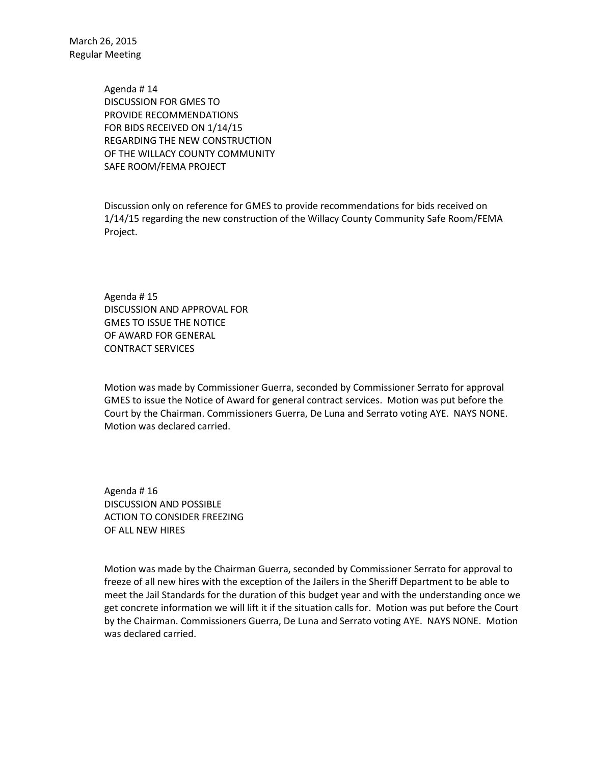> Agenda # 14 DISCUSSION FOR GMES TO PROVIDE RECOMMENDATIONS FOR BIDS RECEIVED ON 1/14/15 REGARDING THE NEW CONSTRUCTION OF THE WILLACY COUNTY COMMUNITY SAFE ROOM/FEMA PROJECT

Discussion only on reference for GMES to provide recommendations for bids received on 1/14/15 regarding the new construction of the Willacy County Community Safe Room/FEMA Project.

Agenda # 15 DISCUSSION AND APPROVAL FOR GMES TO ISSUE THE NOTICE OF AWARD FOR GENERAL CONTRACT SERVICES

Motion was made by Commissioner Guerra, seconded by Commissioner Serrato for approval GMES to issue the Notice of Award for general contract services. Motion was put before the Court by the Chairman. Commissioners Guerra, De Luna and Serrato voting AYE. NAYS NONE. Motion was declared carried.

Agenda # 16 DISCUSSION AND POSSIBLE ACTION TO CONSIDER FREEZING OF ALL NEW HIRES

Motion was made by the Chairman Guerra, seconded by Commissioner Serrato for approval to freeze of all new hires with the exception of the Jailers in the Sheriff Department to be able to meet the Jail Standards for the duration of this budget year and with the understanding once we get concrete information we will lift it if the situation calls for. Motion was put before the Court by the Chairman. Commissioners Guerra, De Luna and Serrato voting AYE. NAYS NONE. Motion was declared carried.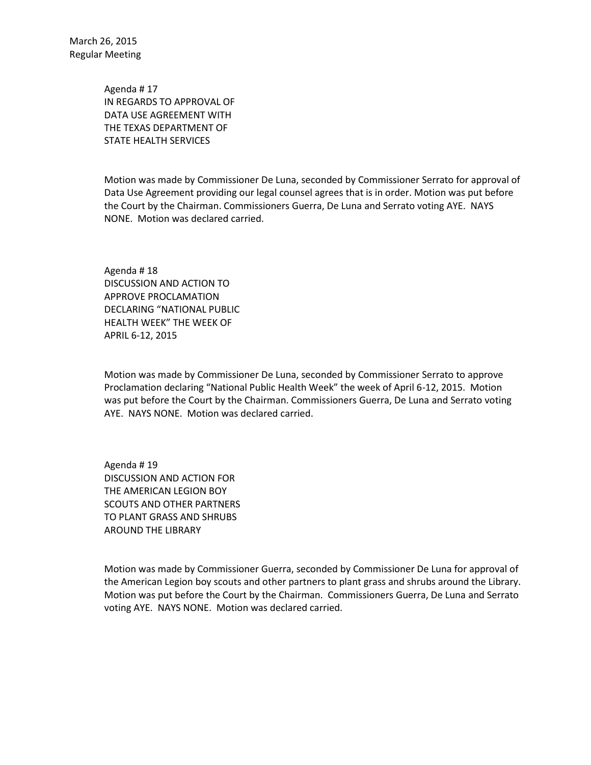> Agenda # 17 IN REGARDS TO APPROVAL OF DATA USE AGREEMENT WITH THE TEXAS DEPARTMENT OF STATE HEALTH SERVICES

Motion was made by Commissioner De Luna, seconded by Commissioner Serrato for approval of Data Use Agreement providing our legal counsel agrees that is in order. Motion was put before the Court by the Chairman. Commissioners Guerra, De Luna and Serrato voting AYE. NAYS NONE. Motion was declared carried.

Agenda # 18 DISCUSSION AND ACTION TO APPROVE PROCLAMATION DECLARING "NATIONAL PUBLIC HEALTH WEEK" THE WEEK OF APRIL 6-12, 2015

Motion was made by Commissioner De Luna, seconded by Commissioner Serrato to approve Proclamation declaring "National Public Health Week" the week of April 6-12, 2015. Motion was put before the Court by the Chairman. Commissioners Guerra, De Luna and Serrato voting AYE. NAYS NONE. Motion was declared carried.

Agenda # 19 DISCUSSION AND ACTION FOR THE AMERICAN LEGION BOY SCOUTS AND OTHER PARTNERS TO PLANT GRASS AND SHRUBS AROUND THE LIBRARY

Motion was made by Commissioner Guerra, seconded by Commissioner De Luna for approval of the American Legion boy scouts and other partners to plant grass and shrubs around the Library. Motion was put before the Court by the Chairman. Commissioners Guerra, De Luna and Serrato voting AYE. NAYS NONE. Motion was declared carried.